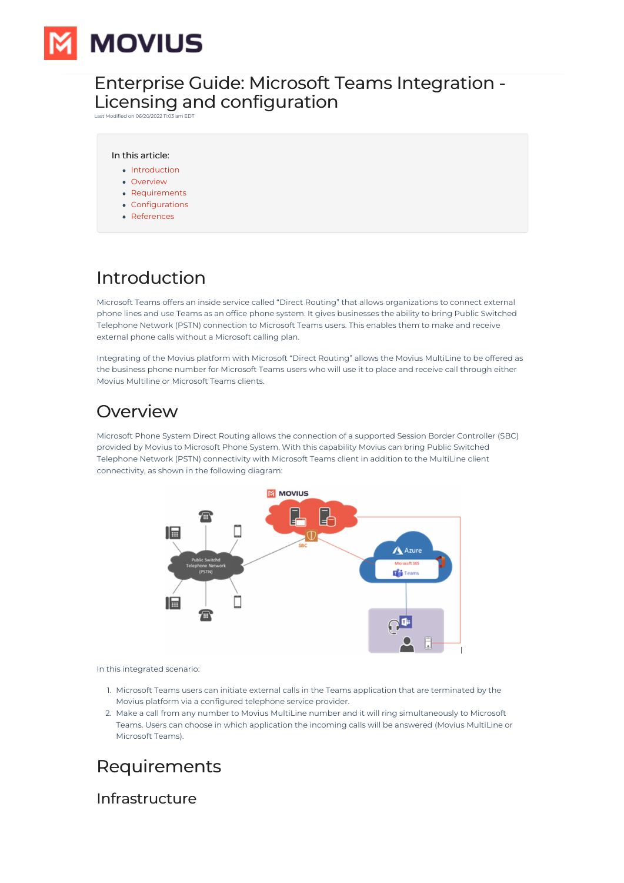

## Enterprise Guide: Microsoft Teams Integration - Licensing and configuration

Last Modified on 06/20/2022 11:0

#### In this article:

- [Introduction](http://moviuscorp.knowledgeowl.com/#introduction)
- [Overview](http://moviuscorp.knowledgeowl.com/#overview)
- [Requirements](http://moviuscorp.knowledgeowl.com/#requirements)
- [Configurations](http://moviuscorp.knowledgeowl.com/#configurations)
- [References](http://moviuscorp.knowledgeowl.com/#references)

# Introduction

Microsoft Teams offers an inside service called "Direct Routing" that allows organizations to connect external phone lines and use Teams as an office phone system. It gives businesses the ability to bring Public Switched Telephone Network (PSTN) connection to Microsoft Teams users. This enables them to make and receive external phone calls without a Microsoft calling plan.

Integrating of the Movius platform with Microsoft "Direct Routing" allows the Movius MultiLine to be offered as the business phone number for Microsoft Teams users who will use it to place and receive call through either Movius Multiline or Microsoft Teams clients.

## Overview

Microsoft Phone System Direct Routing allows the connection of a supported Session Border Controller (SBC) provided by Movius to Microsoft Phone System. With this capability Movius can bring Public Switched Telephone Network (PSTN) connectivity with Microsoft Teams client in addition to the MultiLine client connectivity, as shown in the following diagram:



In this integrated scenario:

- 1. Microsoft Teams users can initiate external calls in the Teams application that are terminated by the Movius platform via a configured telephone service provider.
- 2. Make a call from any number to Movius MultiLine number and it will ring simultaneously to Microsoft Teams. Users can choose in which application the incoming calls will be answered (Movius MultiLine or Microsoft Teams).

# Requirements

Infrastructure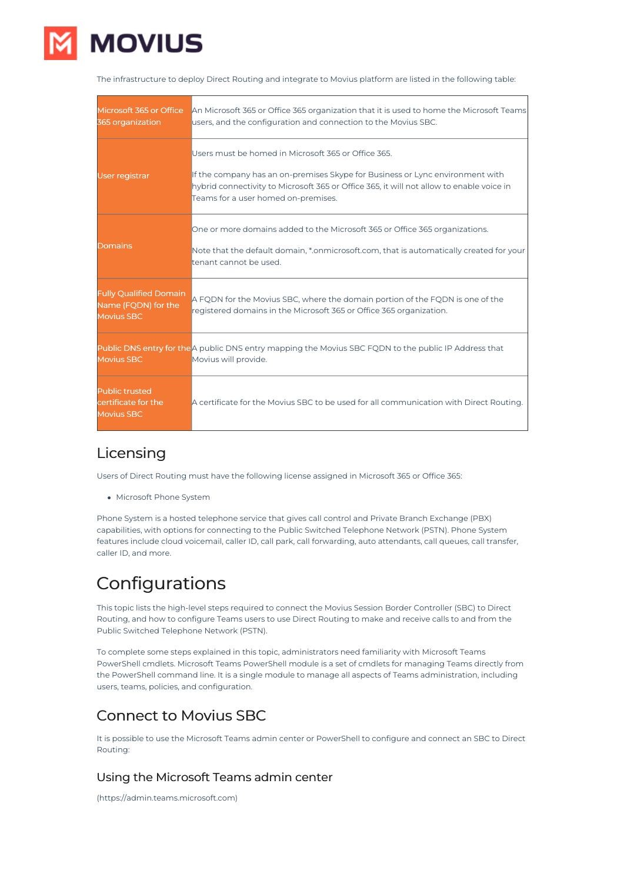

The infrastructure to deploy Direct Routing and integrate to Movius platform are listed in the following table:

| Microsoft 365 or Office<br>365 organization                               | An Microsoft 365 or Office 365 organization that it is used to home the Microsoft Teams<br>users, and the configuration and connection to the Movius SBC.                                                                                                               |
|---------------------------------------------------------------------------|-------------------------------------------------------------------------------------------------------------------------------------------------------------------------------------------------------------------------------------------------------------------------|
| <b>User registrar</b>                                                     | Users must be homed in Microsoft 365 or Office 365.<br>If the company has an on-premises Skype for Business or Lync environment with<br>hybrid connectivity to Microsoft 365 or Office 365, it will not allow to enable voice in<br>Teams for a user homed on-premises. |
| Domains                                                                   | One or more domains added to the Microsoft 365 or Office 365 organizations.<br>Note that the default domain, *.onmicrosoft.com, that is automatically created for your<br>tenant cannot be used.                                                                        |
| <b>Fully Qualified Domain</b><br>Name (FQDN) for the<br><b>Movius SBC</b> | A FQDN for the Movius SBC, where the domain portion of the FQDN is one of the<br>eqistered domains in the Microsoft 365 or Office 365 organization.                                                                                                                     |
| <b>Movius SBC</b>                                                         | Public DNS entry for the A public DNS entry mapping the Movius SBC FQDN to the public IP Address that<br>Movius will provide.                                                                                                                                           |
| <b>Public trusted</b><br>certificate for the<br><b>Movius SBC</b>         | A certificate for the Movius SBC to be used for all communication with Direct Routing.                                                                                                                                                                                  |

## Licensing

Users of Direct Routing must have the following license assigned in Microsoft 365 or Office 365:

Microsoft Phone System

Phone System is a hosted telephone service that gives call control and Private Branch Exchange (PBX) capabilities, with options for connecting to the Public Switched Telephone Network (PSTN). Phone System features include cloud voicemail, caller ID, call park, call forwarding, auto attendants, call queues, call transfer, caller ID, and more.

# Configurations

This topic lists the high-level steps required to connect the Movius Session Border Controller (SBC) to Direct Routing, and how to configure Teams users to use Direct Routing to make and receive calls to and from the Public Switched Telephone Network (PSTN).

To complete some steps explained in this topic, administrators need familiarity with Microsoft Teams PowerShell cmdlets. Microsoft Teams PowerShell module is a set of cmdlets for managing Teams directly from the PowerShell command line. It is a single module to manage all aspects of Teams administration, including users, teams, policies, and configuration.

## Connect to Movius SBC

It is possible to use the Microsoft Teams admin center or PowerShell to configure and connect an SBC to Direct Routing:

### Using the Microsoft Teams admin center

(https://admin.teams.microsoft.com)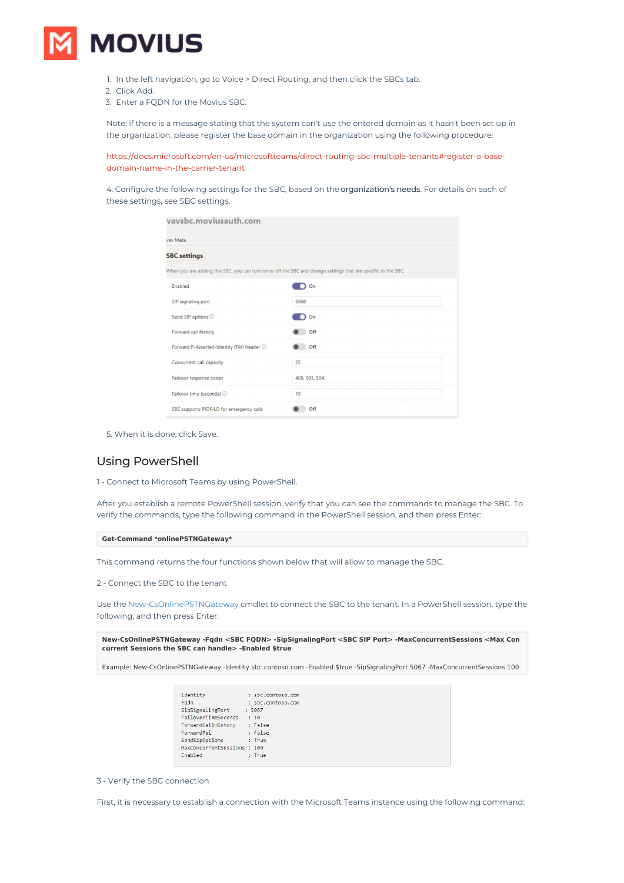

- 1. In the left navigation, go to Voice > Direct Routing, and then click the SBCs tab.
- 2. Click Add.
- 3. Enter a FQDN for the Movius SBC.

Note: if there is a message stating that the system can't use the entered domain as it hasn't been set up in the organization, please register the base domain in the organization using the following procedure:

[https://docs.microsoft.com/en-us/microsoftteams/direct-routing-sbc-multiple-tenants#register-a-base](https://docs.microsoft.com/en-us/microsoftteams/direct-routing-sbc-multiple-tenants#register-a-base-domain-name-in-the-carrier-tenant)domain-name-in-the-carrier-tenant

4. Configure the following settings for the SBC, based on the organization's needs. For details on each of these settings, see SBC settings.

| vaysbc.moviusauth.com                      |                                                                                                                |
|--------------------------------------------|----------------------------------------------------------------------------------------------------------------|
| vay Meta                                   |                                                                                                                |
| <b>SBC</b> settings                        |                                                                                                                |
|                                            | When you are adding this SBC, you can turn on or off the SBC and change settings that are specific to the SBC. |
| Enabled                                    | On                                                                                                             |
| SIP signaling port                         | 5068                                                                                                           |
| Send SIP options 1                         | On                                                                                                             |
| Forward call history                       | Off                                                                                                            |
| Forward P-Asserted-Identity (PAI) header 1 | Off                                                                                                            |
| Concurrent call capacity                   | 25                                                                                                             |
| Failover response codes                    | 408, 503, 504                                                                                                  |
| Failover time (seconds) 1                  | 10                                                                                                             |
| SBC supports PIDF/LO for emergency calls   | Off                                                                                                            |

5. When it is done, click Save.

### Using PowerShell

1 - Connect to Microsoft Teams by using PowerShell.

After you establish a remote PowerShell session, verify that you can see the commands to manage the SBC. To verify the commands, type the following command in the PowerShell session, and then press Enter:

#### **Get-Command \*onlinePSTNGateway\***

This command returns the four functions shown below that will allow to manage the SBC.

2 - Connect the SBC to the tenant

Use the New-CsOnlinePSTNGateway cmdlet to connect the SBC to the tenant. In a PowerShell session, type the following, and then press Enter:

**New-CsOnlinePSTNGateway -Fqdn <SBC FQDN> -SipSignalingPort <SBC SIP Port> -MaxConcurrentSessions <Max Con current Sessions the SBC can handle> -Enabled \$true**

Example: New-CsOnlinePSTNGateway -Identity sbc.contoso.com -Enabled \$true -SipSignalingPort 5067 -MaxConcurrentSessions 100

| Identity                   | : sbc.contoso.com |  |
|----------------------------|-------------------|--|
| Fadn                       | : sbc.contoso.com |  |
| SipSignalingPort           | : 5067            |  |
| FailoverTimeSeconds        | : 10              |  |
| ForwardCallHistory         | : False           |  |
| ForwardPai                 | : False           |  |
| SendSipOptions             | : True            |  |
| MaxConcurrentSessions: 100 |                   |  |
| Enabled                    | : True            |  |
|                            |                   |  |

3 - Verify the SBC connection

First, it is necessary to establish a connection with the Microsoft Teams instance using the following command: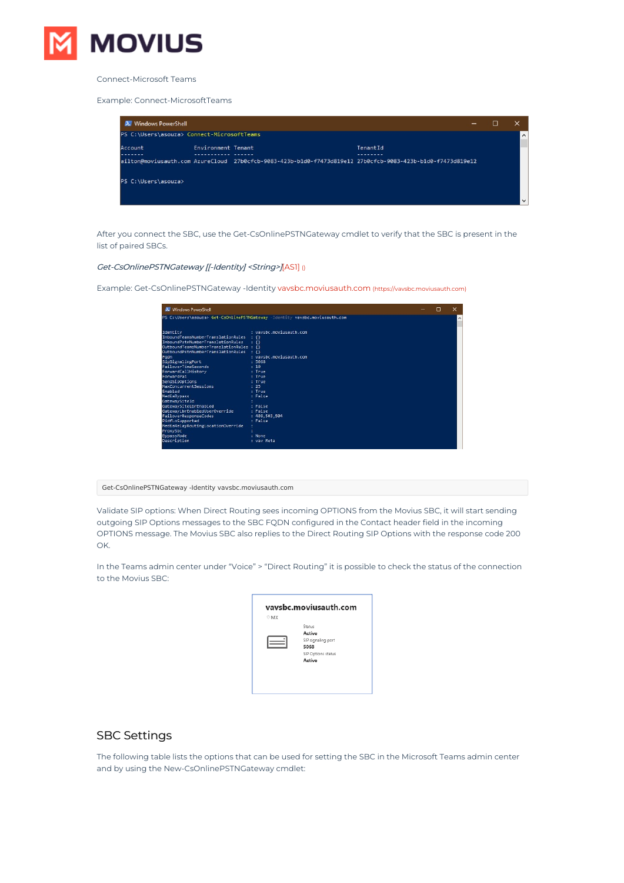

Connect-Microsoft Teams

#### Example: Connect-MicrosoftTeams

| 2. Windows PowerShell                      |                    |                                                                                                            |          | - | П |              |
|--------------------------------------------|--------------------|------------------------------------------------------------------------------------------------------------|----------|---|---|--------------|
| PS C:\Users\asouza> Connect-MicrosoftTeams |                    |                                                                                                            |          |   |   | $\land$      |
| Account                                    | Environment Tenant |                                                                                                            | TenantId |   |   |              |
|                                            |                    | ailton@moviusauth.com AzureCloud 27b0cfcb-9083-423b-b1d0-f7473d819e12 27b0cfcb-9083-423b-b1d0-f7473d819e12 |          |   |   |              |
| PS C:\Users\asouza>                        |                    |                                                                                                            |          |   |   |              |
|                                            |                    |                                                                                                            |          |   |   | $\checkmark$ |

After you connect the SBC, use the Get-CsOnlinePSTNGateway cmdlet to verify that the SBC is present in the list of paired SBCs.

#### Get-CsOnlinePSTNGateway [[-Identity] <String>][AS1] ()

Example: Get-CsOnlinePSTNGateway -Identity [vavsbc.moviusauth.com](https://vavsbc.moviusauth.com) [\(https://vavsbc.moviusauth.com\)](https://vavsbc.moviusauth.com)

| 2. Windows PowerShell                    |                                                                             | п | $\times$            |
|------------------------------------------|-----------------------------------------------------------------------------|---|---------------------|
|                                          | PS C:\Users\asouza> Get-CsOnlinePSTNGateway -Identity vavsbc.moviusauth.com |   | $\hat{\phantom{a}}$ |
|                                          |                                                                             |   |                     |
| Identity                                 | : vavsbc.moviusauth.com                                                     |   |                     |
| InboundTeamsNumberTranslationRules : {}  |                                                                             |   |                     |
| InboundPstnNumberTranslationRules        | $\pm 33$                                                                    |   |                     |
| OutboundTeamsNumberTranslationRules : {} |                                                                             |   |                     |
| OutboundPstnNumberTranslationRules       | $+41$                                                                       |   |                     |
| Fadn                                     | : vavsbc.moviusauth.com                                                     |   |                     |
| SipSignalingPort                         | : 5068                                                                      |   |                     |
| <b>FailoverTimeSeconds</b>               | $+10$                                                                       |   |                     |
| ForwardCallHistory                       | : True                                                                      |   |                     |
| ForwardPai                               | : True                                                                      |   |                     |
| SendSipOptions                           | : True                                                                      |   |                     |
| MaxConcurrentSessions                    | : 25                                                                        |   |                     |
| Enabled                                  | : True                                                                      |   |                     |
| <b>MediaBypass</b>                       | : False                                                                     |   |                     |
| GatewaySiteId                            |                                                                             |   |                     |
| GatewaySiteLbrEnabled                    | : False                                                                     |   |                     |
| GatewayLbrEnabledUserOverride            | : False                                                                     |   |                     |
| FailoverResponseCodes                    | : 408, 503, 504                                                             |   |                     |
| PidfLoSupported                          | : False                                                                     |   |                     |
| MediaRelayRoutingLocationOverride        |                                                                             |   |                     |
| ProxySbc                                 |                                                                             |   |                     |
| BypassMode                               | : None                                                                      |   |                     |
| Description                              | : vav Meta                                                                  |   |                     |
|                                          |                                                                             |   |                     |

#### Get-CsOnlinePSTNGateway -Identity vavsbc.moviusauth.com

Validate SIP options: When Direct Routing sees incoming OPTIONS from the Movius SBC, it will start sending outgoing SIP Options messages to the SBC FQDN configured in the Contact header field in the incoming OPTIONS message. The Movius SBC also replies to the Direct Routing SIP Options with the response code 200 OK.

In the Teams admin center under "Voice" > "Direct Routing" it is possible to check the status of the connection to the Movius SBC:

| Status             |
|--------------------|
| Active             |
| SIP signaling port |
| 5068               |
| SIP Options status |
| Active             |

## SBC Settings

The following table lists the options that can be used for setting the SBC in the Microsoft Teams admin center and by using the New-CsOnlinePSTNGateway cmdlet: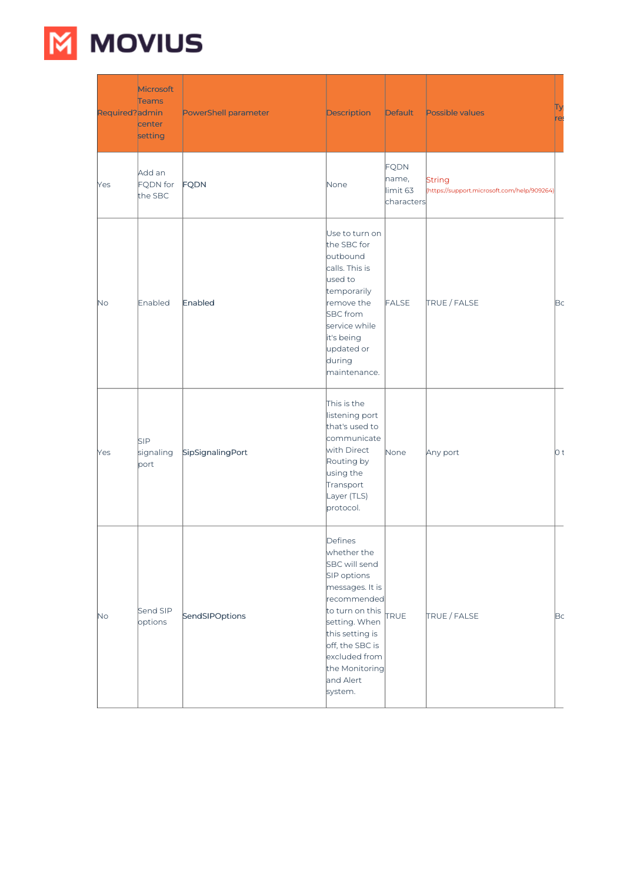

| Required?admin | Microsoft<br><b>Teams</b><br>center<br>setting | PowerShell parameter | Description                                                                                                                                                                                                                   | Default                                        | Possible values                                              | re: |
|----------------|------------------------------------------------|----------------------|-------------------------------------------------------------------------------------------------------------------------------------------------------------------------------------------------------------------------------|------------------------------------------------|--------------------------------------------------------------|-----|
| Yes            | Add an<br>FQDN for<br>the SBC                  | FQDN                 | None                                                                                                                                                                                                                          | <b>FQDN</b><br>name,<br>limit 63<br>characters | <b>String</b><br>(https://support.microsoft.com/help/909264) |     |
| No             | Enabled                                        | Enabled              | Use to turn on<br>the SBC for<br>outbound<br>calls. This is<br>used to<br>temporarily<br>remove the<br><b>SBC</b> from<br>service while<br>it's being<br>updated or<br>during<br>maintenance.                                 | FALSE                                          | TRUE / FALSE                                                 | Bc  |
| Yes            | <b>SIP</b><br>signaling<br>port                | SipSignalingPort     | This is the<br>listening port<br>that's used to<br>communicate<br>with Direct<br>Routing by<br>using the<br>Transport<br>Layer (TLS)<br>protocol.                                                                             | None                                           | Any port                                                     | O t |
| <b>No</b>      | Send SIP<br>options                            | SendSIPOptions       | Defines<br>whether the<br>SBC will send<br>SIP options<br>messages. It is<br>recommended<br>to turn on this<br>setting. When<br>this setting is<br>off, the SBC is<br>excluded from<br>the Monitoring<br>and Alert<br>system. | <b>TRUE</b>                                    | TRUE / FALSE                                                 | Bc  |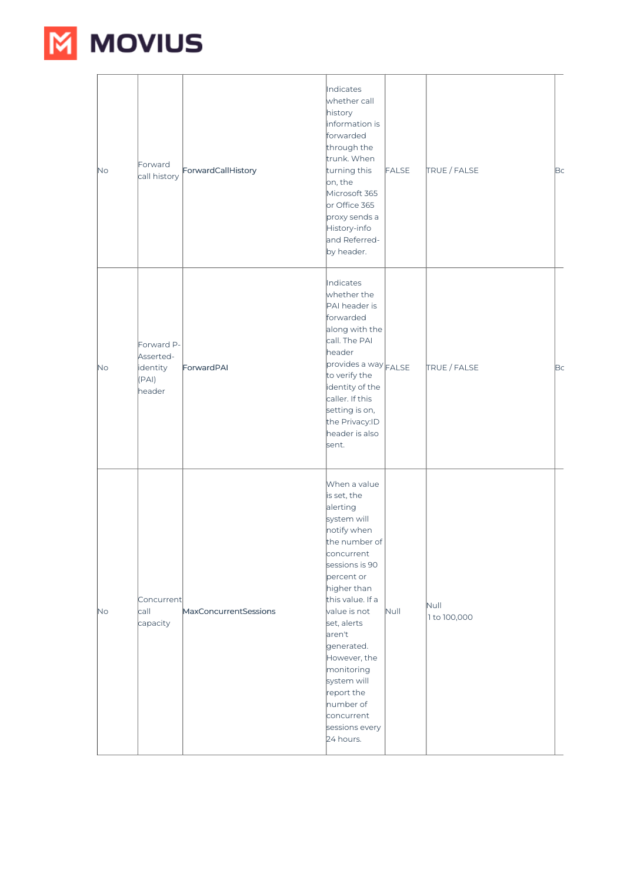

| No.       | Forward<br>call history                                | ForwardCallHistory    | Indicates<br>whether call<br>history<br>information is<br>forwarded<br>through the<br>trunk. When<br>turning this<br>on, the<br>Microsoft 365<br>or Office 365<br>proxy sends a<br>History-info<br>and Referred-<br>by header.                                                                                                                      | <b>FALSE</b> | TRUE / FALSE         | Bc |
|-----------|--------------------------------------------------------|-----------------------|-----------------------------------------------------------------------------------------------------------------------------------------------------------------------------------------------------------------------------------------------------------------------------------------------------------------------------------------------------|--------------|----------------------|----|
| <b>No</b> | Forward P-<br>Asserted-<br>identity<br>(PAI)<br>header | ForwardPAI            | Indicates<br>whether the<br>PAI header is<br>forwarded<br>along with the<br>call. The PAI<br>header<br>provides a way FALSE<br>to verify the<br>identity of the<br>caller. If this<br>setting is on,<br>the Privacy:ID<br>header is also<br>sent.                                                                                                   |              | TRUE / FALSE         | Bc |
| <b>No</b> | Concurrent<br>call<br>capacity                         | MaxConcurrentSessions | When a value<br>is set, the<br>alerting<br>system will<br>notify when<br>the number of<br>concurrent<br>sessions is 90<br>percent or<br>higher than<br>this value. If a<br>value is not<br>set, alerts<br>aren't<br>generated.<br>However, the<br>monitoring<br>system will<br>report the<br>number of<br>concurrent<br>sessions every<br>24 hours. | Null         | Null<br>1 to 100,000 |    |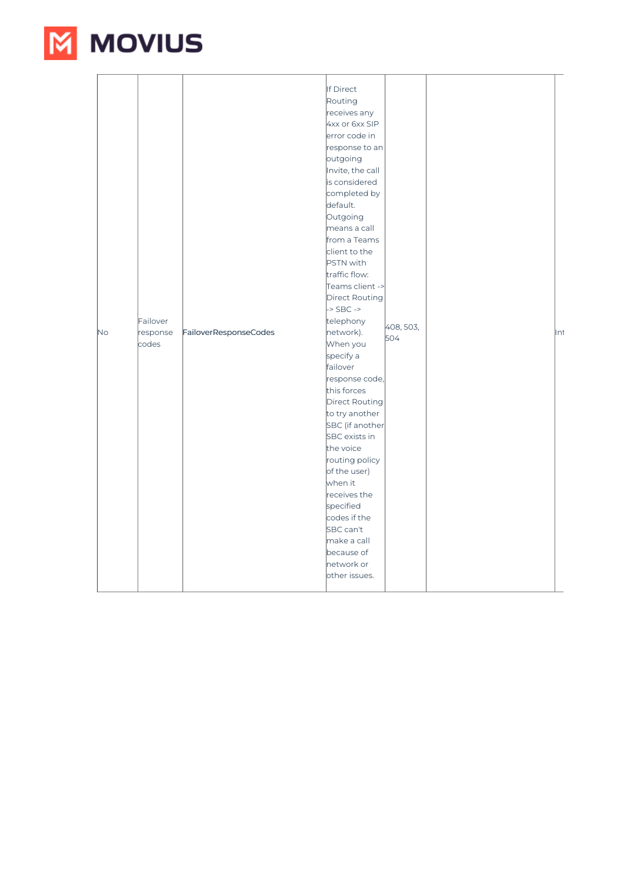

| N <sub>o</sub> | Failover<br>response<br>codes | FailoverResponseCodes | If Direct<br>Routing<br>receives any<br>4xx or 6xx SIP<br>error code in<br>response to an<br>outgoing<br>Invite, the call<br>is considered<br>completed by<br>default.<br>Outgoing<br>means a call<br>from a Teams<br>client to the<br><b>PSTN</b> with<br>traffic flow:<br>Teams client -><br>Direct Routing<br>$-SBC$ -><br>telephony<br>network).<br>When you<br>specify a<br>failover<br>response code,<br>this forces<br>Direct Routing<br>to try another<br>SBC (if another<br>SBC exists in<br>the voice<br>routing policy<br>of the user)<br>when it<br>receives the<br>specified<br>codes if the<br>SBC can't<br>make a call | 408, 503,<br>504 | ∥nt |
|----------------|-------------------------------|-----------------------|---------------------------------------------------------------------------------------------------------------------------------------------------------------------------------------------------------------------------------------------------------------------------------------------------------------------------------------------------------------------------------------------------------------------------------------------------------------------------------------------------------------------------------------------------------------------------------------------------------------------------------------|------------------|-----|
|                |                               |                       | because of<br>network or<br>other issues.                                                                                                                                                                                                                                                                                                                                                                                                                                                                                                                                                                                             |                  |     |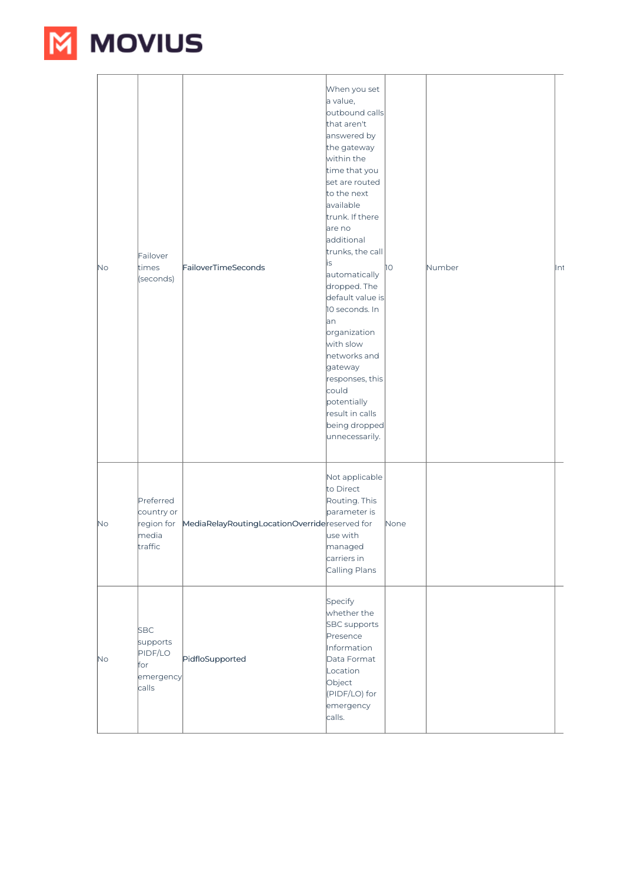

| <b>No</b> | Failover<br>times<br>(seconds)                                 | FailoverTimeSeconds                           | When you set<br>a value,<br>outbound calls<br>that aren't<br>answered by<br>the gateway<br>within the<br>time that you<br>set are routed<br>to the next<br>available<br>trunk. If there<br>are no<br>additional<br>trunks, the call<br>is<br>automatically<br>dropped. The<br>default value is<br>10 seconds. In<br>lan<br>organization<br>with slow<br>networks and<br>gateway<br>responses, this<br>could<br>potentially<br>result in calls<br>being dropped<br>unnecessarily. | ÌО   | Number | Int |
|-----------|----------------------------------------------------------------|-----------------------------------------------|----------------------------------------------------------------------------------------------------------------------------------------------------------------------------------------------------------------------------------------------------------------------------------------------------------------------------------------------------------------------------------------------------------------------------------------------------------------------------------|------|--------|-----|
| <b>No</b> | Preferred<br>country or<br>region for<br>media<br>traffic      | MediaRelayRoutingLocationOverridereserved for | Not applicable<br>to Direct<br>Routing. This<br>parameter is<br>use with<br>managed<br>carriers in<br>Calling Plans                                                                                                                                                                                                                                                                                                                                                              | None |        |     |
| <b>No</b> | <b>SBC</b><br>supports<br>PIDF/LO<br>for<br>emergency<br>calls | PidfloSupported                               | Specify<br>whether the<br><b>SBC</b> supports<br>Presence<br>Information<br>Data Format<br>Location<br>Object<br>(PIDF/LO) for<br>emergency<br>calls.                                                                                                                                                                                                                                                                                                                            |      |        |     |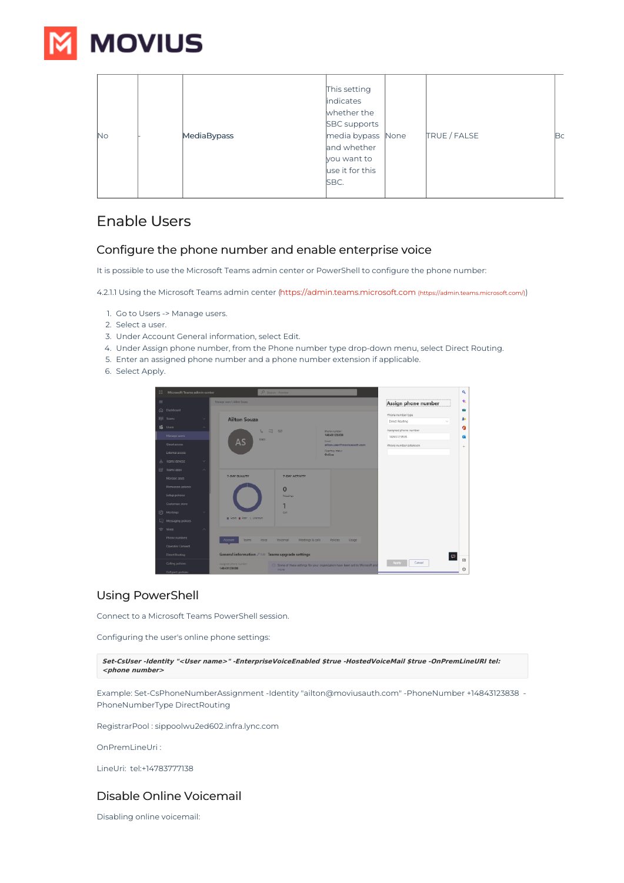

| No | MediaBypass | This setting<br>indicates<br>whether the<br><b>SBC</b> supports<br>media bypass None<br>and whether<br>you want to<br>use it for this<br>SBC. | TRUE / FALSE | lВс |
|----|-------------|-----------------------------------------------------------------------------------------------------------------------------------------------|--------------|-----|
|----|-------------|-----------------------------------------------------------------------------------------------------------------------------------------------|--------------|-----|

## Enable Users

## Configure the phone number and enable enterprise voice

It is possible to use the Microsoft Teams admin center or PowerShell to configure the phone number:

4.2.1.1 Using the Microsoft Teams admin center [\(https://admin.teams.microsoft.com](https://admin.teams.microsoft.com/) [\(https://admin.teams.microsoft.com/\)](https://admin.teams.microsoft.com/))

- 1. Go to Users -> Manage users.
- 2. Select a user.
- 3. Under Account General information, select Edit.
- 4. Under Assign phone number, from the Phone number type drop-down menu, select Direct Routing.
- 5. Enter an assigned phone number and a phone number extension if applicable.
- 6. Select Apply.

| 扭        | Microsoft Teams admin center | O Search - Preview                                   |                                                                               |                                     | $\alpha$             |
|----------|------------------------------|------------------------------------------------------|-------------------------------------------------------------------------------|-------------------------------------|----------------------|
| $\equiv$ |                              | Mamage users \ Ailton Squaa                          |                                                                               | Assign phone number                 | ÷                    |
|          | (i) Dathboard                |                                                      |                                                                               |                                     |                      |
|          | ENS Teams                    | <b>Ailton Souza</b>                                  |                                                                               | Phone number type<br>Direct Routing | 如                    |
|          | tā Uson                      | $\Box$<br>u.<br>52                                   | <b>Photographical</b>                                                         | Assigned phone number               | ٥                    |
|          | Manage users                 |                                                      | 14043123838                                                                   | 14843129838                         | a.                   |
|          | Guest access                 | <b>FERTE</b><br>AS                                   | <b>Ternill</b><br>ailter, userflownsigeach com-<br>Discharg theft it          | Phone number extension              | ÷                    |
|          | External access              |                                                      | Online                                                                        |                                     |                      |
|          | leams devices                |                                                      |                                                                               |                                     |                      |
| 田        | leams apps                   |                                                      |                                                                               |                                     |                      |
|          | Manage apos                  | 7-DAY QUALITY<br>7-DAY ACTIVITY                      |                                                                               |                                     |                      |
|          | Permission policies          | $\mathbf{0}$                                         |                                                                               |                                     |                      |
|          | Setup policies               | Mazina                                               |                                                                               |                                     |                      |
|          | Customize store              |                                                      |                                                                               |                                     |                      |
|          | [iii] Mottings               | Call                                                 |                                                                               |                                     |                      |
|          | Hessaging policies           | a Good a Poor - Universe                             |                                                                               |                                     |                      |
|          | <sup>OP</sup> Voice          |                                                      |                                                                               |                                     |                      |
|          | Phone numbers                | Account<br><b>Teams</b><br><b>Voice</b><br>Voicemail | Meetings & calls<br><b>Polities</b><br>Usson                                  |                                     |                      |
|          | Operator Connect             |                                                      |                                                                               |                                     |                      |
|          | Direct Routing               | General information / Toll Teams upgrade settings    |                                                                               |                                     | $\qquad \qquad \Box$ |
|          | Caling policies              | Assigned phone number                                | C Some of these settings for your organization have been set by Microsoft and | Apply<br>Cancel                     | 団                    |
|          | Call park policies           | 14843123838<br>more                                  |                                                                               |                                     | 由                    |

## Using PowerShell

Connect to a Microsoft Teams PowerShell session.

Configuring the user's online phone settings:

**Set-CsUser -Identity "<User name>" -EnterpriseVoiceEnabled \$true -HostedVoiceMail \$true -OnPremLineURI tel: <phone number>**

Example: Set-CsPhoneNumberAssignment -Identity "ailton@moviusauth.com" -PhoneNumber +14843123838 - PhoneNumberType DirectRouting

RegistrarPool : sippoolwu2ed602.infra.lync.com

OnPremLineUri :

LineUri: tel:+14783777138

## Disable Online Voicemail

Disabling online voicemail: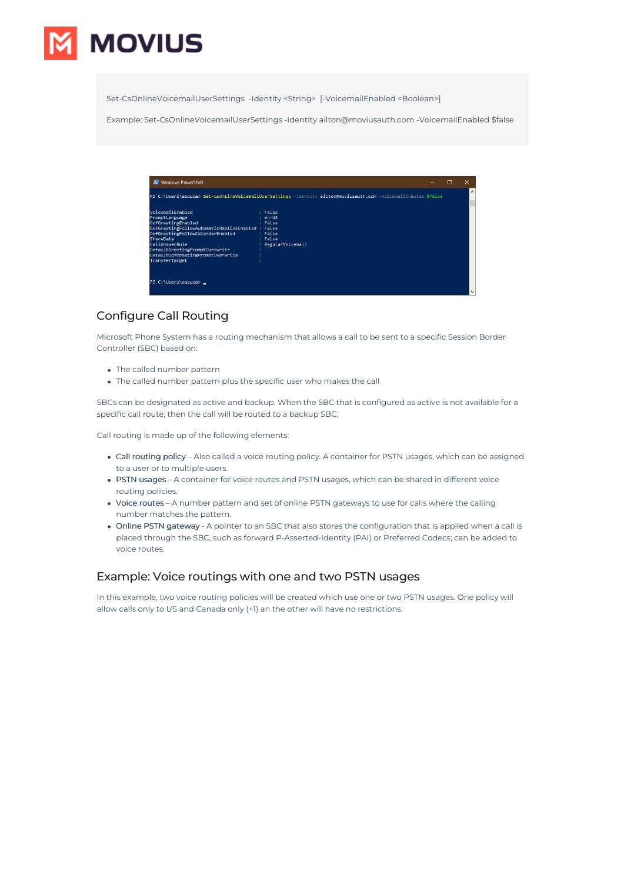

Set-CsOnlineVoicemailUserSettings -Identity <String> [-VoicemailEnabled <Boolean>]

Example: Set-CsOnlineVoicemailUserSettings -Identity ailton@moviusauth.com -VoicemailEnabled \$false

| 2 Windows PowerShell                                                                                                                                                                                                                                                     |                                                                                                                 | □ | × |          |
|--------------------------------------------------------------------------------------------------------------------------------------------------------------------------------------------------------------------------------------------------------------------------|-----------------------------------------------------------------------------------------------------------------|---|---|----------|
|                                                                                                                                                                                                                                                                          | PS C:\Users\asouza> Set-CsOnlineVoicemailUserSettings -Identity ailton@moviusauth.com -VoicemailEnabled \$false |   |   | $\wedge$ |
| VoicemailEnabled<br>PromptLanguage<br>OofGreetingEnabled<br>OofGreetingFollowAutomaticRepliesEnabled : False<br>OofGreetingFollowCalendarEnabled<br>ShareData<br>CallAnswerRule<br>DefaultGreetingPromptOverwrite<br>DefaultOofGreetingPromptOverwrite<br>TransferTarget | : False<br>$: en-US$<br>: False<br>: False<br>: False<br>: RegularVoicemail                                     |   |   |          |
| PS C:\Users\asouza> _                                                                                                                                                                                                                                                    |                                                                                                                 |   |   | v        |

## Configure Call Routing

Microsoft Phone System has a routing mechanism that allows a call to be sent to a specific Session Border Controller (SBC) based on:

- The called number pattern
- The called number pattern plus the specific user who makes the call

SBCs can be designated as active and backup. When the SBC that is configured as active is not available for a specific call route, then the call will be routed to a backup SBC.

Call routing is made up of the following elements:

- Call routing policy Also called a voice routing policy. A container for PSTN usages, which can be assigned to a user or to multiple users.
- PSTN usages A container for voice routes and PSTN usages, which can be shared in different voice routing policies.
- Voice routes A number pattern and set of online PSTN gateways to use for calls where the calling number matches the pattern.
- Online PSTN gateway A pointer to an SBC that also stores the configuration that is applied when a call is placed through the SBC, such as forward P-Asserted-Identity (PAI) or Preferred Codecs; can be added to voice routes.

### Example: Voice routings with one and two PSTN usages

In this example, two voice routing policies will be created which use one or two PSTN usages. One policy will allow calls only to US and Canada only (+1) an the other will have no restrictions.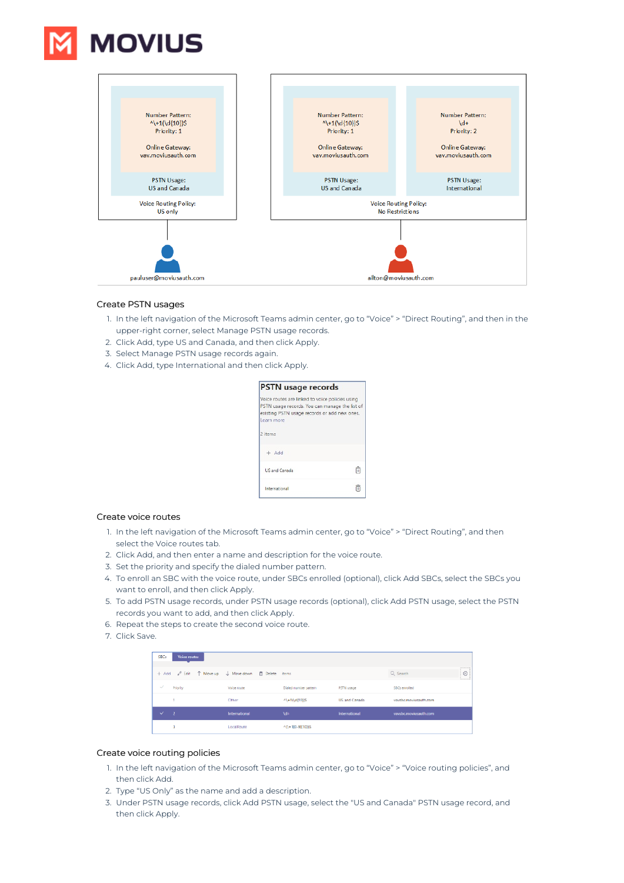



### Create PSTN usages

- 1. In the left navigation of the Microsoft Teams admin center, go to "Voice" > "Direct Routing", and then in the upper-right corner, select Manage PSTN usage records.
- 2. Click Add, type US and Canada, and then click Apply.
- 3. Select Manage PSTN usage records again.
- 4. Click Add, type International and then click Apply.

| <b>PSTN</b> usage records                                                                                                                                       |   |
|-----------------------------------------------------------------------------------------------------------------------------------------------------------------|---|
| Voice routes are linked to voice policies using<br>PSTN usage records. You can manage the list of<br>existing PSTN usage records or add new ones.<br>Learn more |   |
| 2 items                                                                                                                                                         |   |
| $+$ Add                                                                                                                                                         |   |
| <b>US and Canada</b>                                                                                                                                            | 侖 |
| International                                                                                                                                                   | Ĥ |

#### Create voice routes

- 1. In the left navigation of the Microsoft Teams admin center, go to "Voice" > "Direct Routing", and then select the Voice routes tab.
- 2. Click Add, and then enter a name and description for the voice route.
- 3. Set the priority and specify the dialed number pattern.
- 4. To enroll an SBC with the voice route, under SBCs enrolled (optional), click Add SBCs, select the SBCs you want to enroll, and then click Apply.
- 5. To add PSTN usage records, under PSTN usage records (optional), click Add PSTN usage, select the PSTN records you want to add, and then click Apply.
- 6. Repeat the steps to create the second voice route.
- 7. Click Save.

| <b>SBCs</b>  | Voice routes |               |                       |                      |                       |                          |
|--------------|--------------|---------------|-----------------------|----------------------|-----------------------|--------------------------|
|              |              |               |                       |                      | Q Search              | -------<br>G<br>homested |
| $\checkmark$ | Priority     | Voice route   | Dialed number pattern | <b>PSTN</b> usage    | 58Cs enrolled         |                          |
|              |              | Other         | $44 + 10d(10)$        | <b>US and Canada</b> | vaysbc.moviusauth.com |                          |
| $\checkmark$ | ιz           | International | <b>M+</b>             | International        | vavsbc.moviusauth.com |                          |
|              |              |               |                       |                      |                       |                          |

#### Create voice routing policies

- 1. In the left navigation of the Microsoft Teams admin center, go to "Voice" > "Voice routing policies", and then click Add.
- 2. Type "US Only" as the name and add a description.
- 3. Under PSTN usage records, click Add PSTN usage, select the "US and Canada" PSTN usage record, and then click Apply.